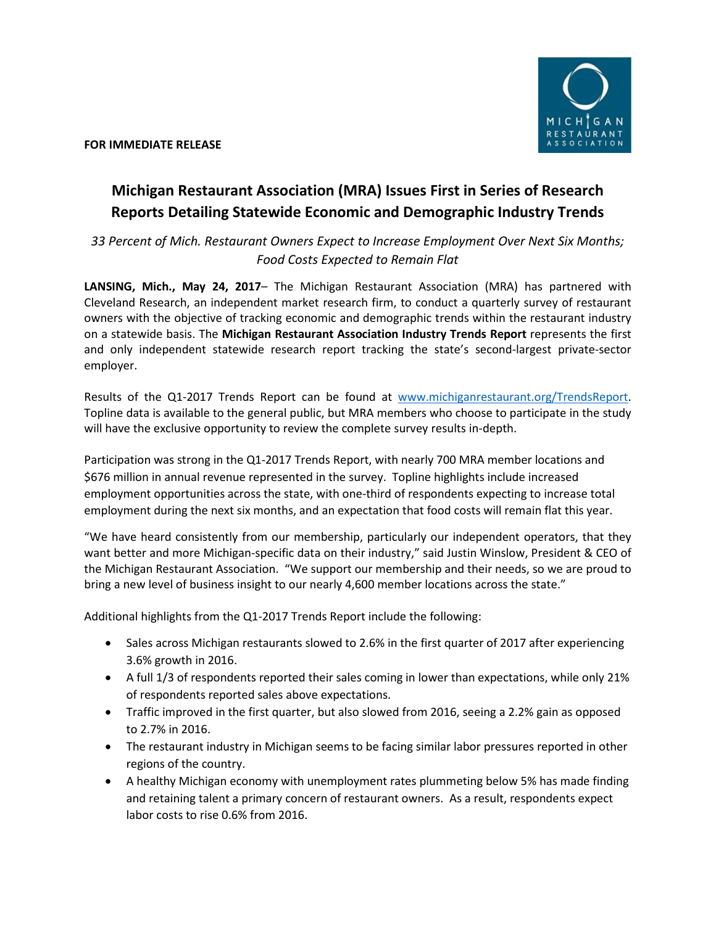

**FOR IMMEDIATE RELEASE**

## **Michigan Restaurant Association (MRA) Issues First in Series of Research Reports Detailing Statewide Economic and Demographic Industry Trends**

*33 Percent of Mich. Restaurant Owners Expect to Increase Employment Over Next Six Months; Food Costs Expected to Remain Flat* 

**LANSING, Mich., May 24, 2017**– The Michigan Restaurant Association (MRA) has partnered with Cleveland Research, an independent market research firm, to conduct a quarterly survey of restaurant owners with the objective of tracking economic and demographic trends within the restaurant industry on a statewide basis. The **Michigan Restaurant Association Industry Trends Report** represents the first and only independent statewide research report tracking the state's second-largest private-sector employer.

Results of the Q1-2017 Trends Report can be found at [www.michiganrestaurant.org/TrendsReport.](http://www.michiganrestaurant.org/TrendsReport) Topline data is available to the general public, but MRA members who choose to participate in the study will have the exclusive opportunity to review the complete survey results in-depth.

Participation was strong in the Q1-2017 Trends Report, with nearly 700 MRA member locations and \$676 million in annual revenue represented in the survey. Topline highlights include increased employment opportunities across the state, with one-third of respondents expecting to increase total employment during the next six months, and an expectation that food costs will remain flat this year.

"We have heard consistently from our membership, particularly our independent operators, that they want better and more Michigan-specific data on their industry," said Justin Winslow, President & CEO of the Michigan Restaurant Association. "We support our membership and their needs, so we are proud to bring a new level of business insight to our nearly 4,600 member locations across the state."

Additional highlights from the Q1-2017 Trends Report include the following:

- Sales across Michigan restaurants slowed to 2.6% in the first quarter of 2017 after experiencing 3.6% growth in 2016.
- A full 1/3 of respondents reported their sales coming in lower than expectations, while only 21% of respondents reported sales above expectations.
- Traffic improved in the first quarter, but also slowed from 2016, seeing a 2.2% gain as opposed to 2.7% in 2016.
- The restaurant industry in Michigan seems to be facing similar labor pressures reported in other regions of the country.
- A healthy Michigan economy with unemployment rates plummeting below 5% has made finding and retaining talent a primary concern of restaurant owners. As a result, respondents expect labor costs to rise 0.6% from 2016.